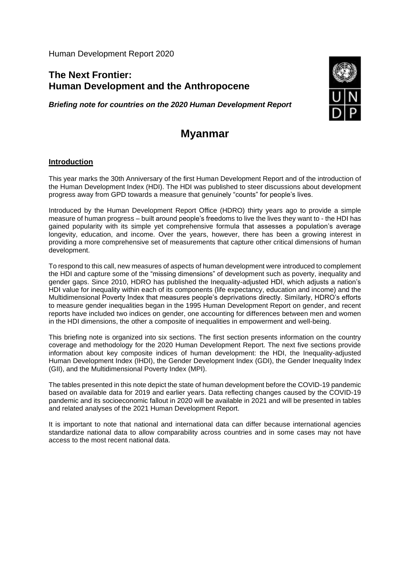Human Development Report 2020

# **The Next Frontier: Human Development and the Anthropocene**

*Briefing note for countries on the 2020 Human Development Report*



# **Myanmar**

#### **Introduction**

This year marks the 30th Anniversary of the first Human Development Report and of the introduction of the Human Development Index (HDI). The HDI was published to steer discussions about development progress away from GPD towards a measure that genuinely "counts" for people's lives.

Introduced by the Human Development Report Office (HDRO) thirty years ago to provide a simple measure of human progress – built around people's freedoms to live the lives they want to - the HDI has gained popularity with its simple yet comprehensive formula that assesses a population's average longevity, education, and income. Over the years, however, there has been a growing interest in providing a more comprehensive set of measurements that capture other critical dimensions of human development.

To respond to this call, new measures of aspects of human development were introduced to complement the HDI and capture some of the "missing dimensions" of development such as poverty, inequality and gender gaps. Since 2010, HDRO has published the Inequality-adjusted HDI, which adjusts a nation's HDI value for inequality within each of its components (life expectancy, education and income) and the Multidimensional Poverty Index that measures people's deprivations directly. Similarly, HDRO's efforts to measure gender inequalities began in the 1995 Human Development Report on gender, and recent reports have included two indices on gender, one accounting for differences between men and women in the HDI dimensions, the other a composite of inequalities in empowerment and well-being.

This briefing note is organized into six sections. The first section presents information on the country coverage and methodology for the 2020 Human Development Report. The next five sections provide information about key composite indices of human development: the HDI, the Inequality-adjusted Human Development Index (IHDI), the Gender Development Index (GDI), the Gender Inequality Index (GII), and the Multidimensional Poverty Index (MPI).

The tables presented in this note depict the state of human development before the COVID-19 pandemic based on available data for 2019 and earlier years. Data reflecting changes caused by the COVID-19 pandemic and its socioeconomic fallout in 2020 will be available in 2021 and will be presented in tables and related analyses of the 2021 Human Development Report.

It is important to note that national and international data can differ because international agencies standardize national data to allow comparability across countries and in some cases may not have access to the most recent national data.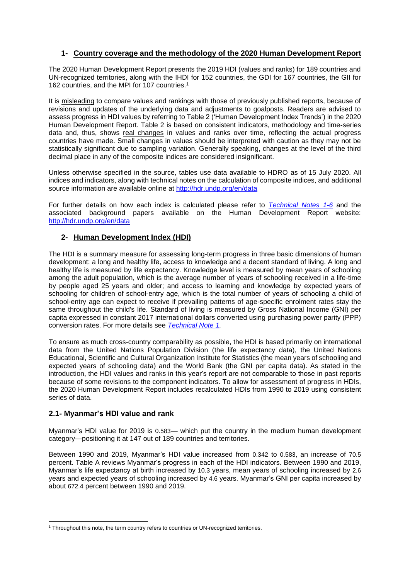# **1- Country coverage and the methodology of the 2020 Human Development Report**

The 2020 Human Development Report presents the 2019 HDI (values and ranks) for 189 countries and UN-recognized territories, along with the IHDI for 152 countries, the GDI for 167 countries, the GII for 162 countries, and the MPI for 107 countries.<sup>1</sup>

It is misleading to compare values and rankings with those of previously published reports, because of revisions and updates of the underlying data and adjustments to goalposts. Readers are advised to assess progress in HDI values by referring to Table 2 ('Human Development Index Trends') in the 2020 Human Development Report. Table 2 is based on consistent indicators, methodology and time-series data and, thus, shows real changes in values and ranks over time, reflecting the actual progress countries have made. Small changes in values should be interpreted with caution as they may not be statistically significant due to sampling variation. Generally speaking, changes at the level of the third decimal place in any of the composite indices are considered insignificant.

Unless otherwise specified in the source, tables use data available to HDRO as of 15 July 2020. All indices and indicators, along with technical notes on the calculation of composite indices, and additional source information are available online at<http://hdr.undp.org/en/data>

For further details on how each index is calculated please refer to *Technical [Notes 1-6](http://hdr.undp.org/sites/default/files/hdr2020_technical_notes.pdf)* and the associated background papers available on the Human Development Report website: <http://hdr.undp.org/en/data>

#### **2- Human Development Index (HDI)**

The HDI is a summary measure for assessing long-term progress in three basic dimensions of human development: a long and healthy life, access to knowledge and a decent standard of living. A long and healthy life is measured by life expectancy. Knowledge level is measured by mean years of schooling among the adult population, which is the average number of years of schooling received in a life-time by people aged 25 years and older; and access to learning and knowledge by expected years of schooling for children of school-entry age, which is the total number of years of schooling a child of school-entry age can expect to receive if prevailing patterns of age-specific enrolment rates stay the same throughout the child's life. Standard of living is measured by Gross National Income (GNI) per capita expressed in constant 2017 international dollars converted using purchasing power parity (PPP) conversion rates. For more details see *[Technical Note 1.](http://hdr.undp.org/sites/default/files/hdr2020_technical_notes.pdf)*

To ensure as much cross-country comparability as possible, the HDI is based primarily on international data from the United Nations Population Division (the life expectancy data), the United Nations Educational, Scientific and Cultural Organization Institute for Statistics (the mean years of schooling and expected years of schooling data) and the World Bank (the GNI per capita data). As stated in the introduction, the HDI values and ranks in this year's report are not comparable to those in past reports because of some revisions to the component indicators. To allow for assessment of progress in HDIs, the 2020 Human Development Report includes recalculated HDIs from 1990 to 2019 using consistent series of data.

#### **2.1- Myanmar's HDI value and rank**

Myanmar's HDI value for 2019 is 0.583— which put the country in the medium human development category—positioning it at 147 out of 189 countries and territories.

Between 1990 and 2019, Myanmar's HDI value increased from 0.342 to 0.583, an increase of 70.5 percent. Table A reviews Myanmar's progress in each of the HDI indicators. Between 1990 and 2019, Myanmar's life expectancy at birth increased by 10.3 years, mean years of schooling increased by 2.6 years and expected years of schooling increased by 4.6 years. Myanmar's GNI per capita increased by about 672.4 percent between 1990 and 2019.

<sup>&</sup>lt;sup>1</sup> Throughout this note, the term country refers to countries or UN-recognized territories.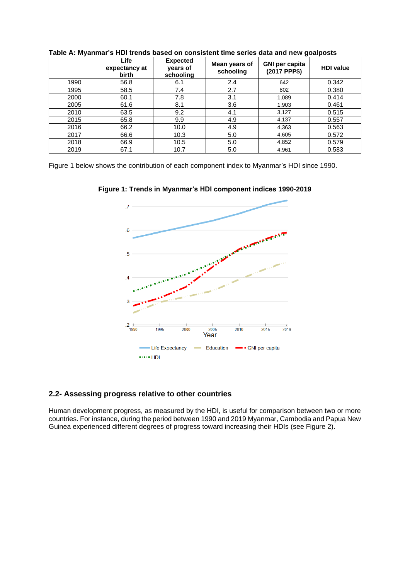|      | Life<br>expectancy at<br>birth | <b>Expected</b><br>years of<br>schooling | Mean years of<br>schooling | <b>GNI per capita</b><br>(2017 PPP\$) | <b>HDI</b> value |
|------|--------------------------------|------------------------------------------|----------------------------|---------------------------------------|------------------|
| 1990 | 56.8                           | 6.1                                      | 2.4                        | 642                                   | 0.342            |
| 1995 | 58.5                           | 7.4                                      | 2.7                        | 802                                   | 0.380            |
| 2000 | 60.1                           | 7.8                                      | 3.1                        | 1.089                                 | 0.414            |
| 2005 | 61.6                           | 8.1                                      | 3.6                        | 1,903                                 | 0.461            |
| 2010 | 63.5                           | 9.2                                      | 4.1                        | 3,127                                 | 0.515            |
| 2015 | 65.8                           | 9.9                                      | 4.9                        | 4,137                                 | 0.557            |
| 2016 | 66.2                           | 10.0                                     | 4.9                        | 4,363                                 | 0.563            |
| 2017 | 66.6                           | 10.3                                     | 5.0                        | 4,605                                 | 0.572            |
| 2018 | 66.9                           | 10.5                                     | 5.0                        | 4,852                                 | 0.579            |
| 2019 | 67.1                           | 10.7                                     | 5.0                        | 4,961                                 | 0.583            |

**Table A: Myanmar's HDI trends based on consistent time series data and new goalposts**

Figure 1 below shows the contribution of each component index to Myanmar's HDI since 1990.



**Figure 1: Trends in Myanmar's HDI component indices 1990-2019**

#### **2.2- Assessing progress relative to other countries**

Human development progress, as measured by the HDI, is useful for comparison between two or more countries. For instance, during the period between 1990 and 2019 Myanmar, Cambodia and Papua New Guinea experienced different degrees of progress toward increasing their HDIs (see Figure 2).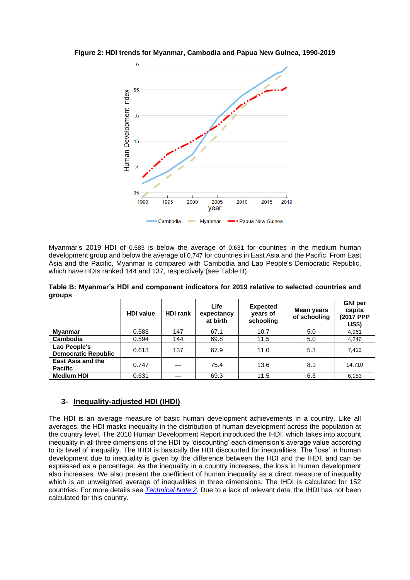**Figure 2: HDI trends for Myanmar, Cambodia and Papua New Guinea, 1990-2019**



Myanmar's 2019 HDI of 0.583 is below the average of 0.631 for countries in the medium human development group and below the average of 0.747 for countries in East Asia and the Pacific. From East Asia and the Pacific, Myanmar is compared with Cambodia and Lao People's Democratic Republic, which have HDIs ranked 144 and 137, respectively (see Table B).

**Table B: Myanmar's HDI and component indicators for 2019 relative to selected countries and groups**

|                                            | <b>HDI</b> value | <b>HDI rank</b> | Life<br>expectancy<br>at birth | <b>Expected</b><br>years of<br>schooling | Mean years<br>of schooling | <b>GNI</b> per<br>capita<br>(2017 PPP<br>US\$) |
|--------------------------------------------|------------------|-----------------|--------------------------------|------------------------------------------|----------------------------|------------------------------------------------|
| <b>Myanmar</b>                             | 0.583            | 147             | 67.1                           | 10.7                                     | 5.0                        | 4,961                                          |
| Cambodia                                   | 0.594            | 144             | 69.8                           | 11.5                                     | 5.0                        | 4,246                                          |
| Lao People's<br><b>Democratic Republic</b> | 0.613            | 137             | 67.9                           | 11.0                                     | 5.3                        | 7,413                                          |
| <b>East Asia and the</b><br><b>Pacific</b> | 0.747            |                 | 75.4                           | 13.6                                     | 8.1                        | 14.710                                         |
| <b>Medium HDI</b>                          | 0.631            |                 | 69.3                           | 11.5                                     | 6.3                        | 6,153                                          |

## **3- Inequality-adjusted HDI (IHDI)**

The HDI is an average measure of basic human development achievements in a country. Like all averages, the HDI masks inequality in the distribution of human development across the population at the country level. The 2010 Human Development Report introduced the IHDI, which takes into account inequality in all three dimensions of the HDI by 'discounting' each dimension's average value according to its level of inequality. The IHDI is basically the HDI discounted for inequalities. The 'loss' in human development due to inequality is given by the difference between the HDI and the IHDI, and can be expressed as a percentage. As the inequality in a country increases, the loss in human development also increases. We also present the coefficient of human inequality as a direct measure of inequality which is an unweighted average of inequalities in three dimensions. The IHDI is calculated for 152 countries. For more details see *[Technical Note 2](http://hdr.undp.org/sites/default/files/hdr2020_technical_notes.pdf)*. Due to a lack of relevant data, the IHDI has not been calculated for this country.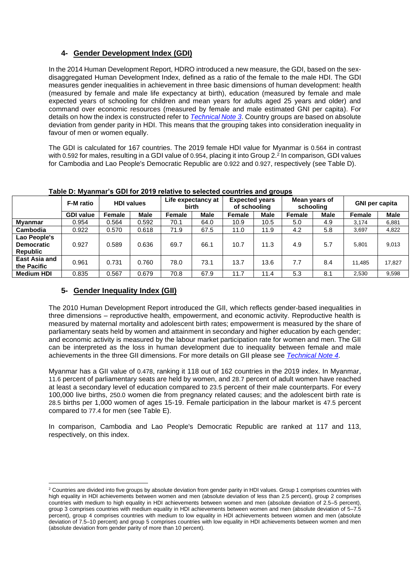# **4- Gender Development Index (GDI)**

In the 2014 Human Development Report, HDRO introduced a new measure, the GDI, based on the sexdisaggregated Human Development Index, defined as a ratio of the female to the male HDI. The GDI measures gender inequalities in achievement in three basic dimensions of human development: health (measured by female and male life expectancy at birth), education (measured by female and male expected years of schooling for children and mean years for adults aged 25 years and older) and command over economic resources (measured by female and male estimated GNI per capita). For details on how the index is constructed refer to *[Technical Note 3](http://hdr.undp.org/sites/default/files/hdr2020_technical_notes.pdf)*. Country groups are based on absolute deviation from gender parity in HDI. This means that the grouping takes into consideration inequality in favour of men or women equally.

The GDI is calculated for 167 countries. The 2019 female HDI value for Myanmar is 0.564 in contrast with 0.592 for males, resulting in a GDI value of 0.954, placing it into Group 2.<sup>2</sup> In comparison, GDI values for Cambodia and Lao People's Democratic Republic are 0.922 and 0.927, respectively (see Table D).

|                                               | F-M ratio        | <b>HDI values</b> |             | Life expectancy at<br>birth |             | <b>Expected years</b><br>of schooling |             | Mean years of<br>schooling |             | <b>GNI per capita</b> |             |
|-----------------------------------------------|------------------|-------------------|-------------|-----------------------------|-------------|---------------------------------------|-------------|----------------------------|-------------|-----------------------|-------------|
|                                               | <b>GDI value</b> | Female            | <b>Male</b> | Female                      | <b>Male</b> | Female                                | <b>Male</b> | <b>Female</b>              | <b>Male</b> | <b>Female</b>         | <b>Male</b> |
| Myanmar                                       | 0.954            | 0.564             | 0.592       | 70.1                        | 64.0        | 10.9                                  | 10.5        | 5.0                        | 4.9         | 3.174                 | 6,881       |
| Cambodia                                      | 0.922            | 0.570             | 0.618       | 71.9                        | 67.5        | 11.0                                  | 11.9        | 4.2                        | 5.8         | 3,697                 | 4,822       |
| Lao People's<br><b>Democratic</b><br>Republic | 0.927            | 0.589             | 0.636       | 69.7                        | 66.1        | 10.7                                  | 11.3        | 4.9                        | 5.7         | 5.801                 | 9,013       |
| <b>East Asia and</b><br>the Pacific           | 0.961            | 0.731             | 0.760       | 78.0                        | 73.1        | 13.7                                  | 13.6        | 7.7                        | 8.4         | 11.485                | 17.827      |
| <b>Medium HDI</b>                             | 0.835            | 0.567             | 0.679       | 70.8                        | 67.9        | 11.7                                  | 11.4        | 5.3                        | 8.1         | 2,530                 | 9,598       |

#### **Table D: Myanmar's GDI for 2019 relative to selected countries and groups**

## **5- Gender Inequality Index (GII)**

The 2010 Human Development Report introduced the GII, which reflects gender-based inequalities in three dimensions – reproductive health, empowerment, and economic activity. Reproductive health is measured by maternal mortality and adolescent birth rates; empowerment is measured by the share of parliamentary seats held by women and attainment in secondary and higher education by each gender; and economic activity is measured by the labour market participation rate for women and men. The GII can be interpreted as the loss in human development due to inequality between female and male achievements in the three GII dimensions. For more details on GII please see *[Technical Note 4](http://hdr.undp.org/sites/default/files/hdr2020_technical_notes.pdf)*.

Myanmar has a GII value of 0.478, ranking it 118 out of 162 countries in the 2019 index. In Myanmar, 11.6 percent of parliamentary seats are held by women, and 28.7 percent of adult women have reached at least a secondary level of education compared to 23.5 percent of their male counterparts. For every 100,000 live births, 250.0 women die from pregnancy related causes; and the adolescent birth rate is 28.5 births per 1,000 women of ages 15-19. Female participation in the labour market is 47.5 percent compared to 77.4 for men (see Table E).

In comparison, Cambodia and Lao People's Democratic Republic are ranked at 117 and 113, respectively, on this index.

<sup>&</sup>lt;sup>2</sup> Countries are divided into five groups by absolute deviation from gender parity in HDI values. Group 1 comprises countries with high equality in HDI achievements between women and men (absolute deviation of less than 2.5 percent), group 2 comprises countries with medium to high equality in HDI achievements between women and men (absolute deviation of 2.5–5 percent), group 3 comprises countries with medium equality in HDI achievements between women and men (absolute deviation of 5–7.5 percent), group 4 comprises countries with medium to low equality in HDI achievements between women and men (absolute deviation of 7.5–10 percent) and group 5 comprises countries with low equality in HDI achievements between women and men (absolute deviation from gender parity of more than 10 percent).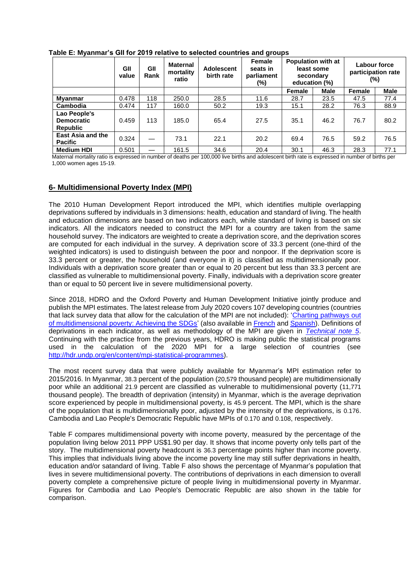|                                                      | GII<br>value | GII<br>Rank | <b>Maternal</b><br>mortality<br>ratio | Adolescent<br>birth rate | Female<br>seats in<br>parliament<br>(%) | <b>Population with at</b><br>least some<br>secondary<br>education (%) |             | Labour force<br>participation rate<br>(%) |             |
|------------------------------------------------------|--------------|-------------|---------------------------------------|--------------------------|-----------------------------------------|-----------------------------------------------------------------------|-------------|-------------------------------------------|-------------|
|                                                      |              |             |                                       |                          |                                         | Female                                                                | <b>Male</b> | Female                                    | <b>Male</b> |
| Myanmar                                              | 0.478        | 118         | 250.0                                 | 28.5                     | 11.6                                    | 28.7                                                                  | 23.5        | 47.5                                      | 77.4        |
| Cambodia                                             | 0.474        | 117         | 160.0                                 | 50.2                     | 19.3                                    | 15.1                                                                  | 28.2        | 76.3                                      | 88.9        |
| Lao People's<br><b>Democratic</b><br><b>Republic</b> | 0.459        | 113         | 185.0                                 | 65.4                     | 27.5                                    | 35.1                                                                  | 46.2        | 76.7                                      | 80.2        |
| <b>East Asia and the</b><br><b>Pacific</b>           | 0.324        |             | 73.1                                  | 22.1                     | 20.2                                    | 69.4                                                                  | 76.5        | 59.2                                      | 76.5        |
| <b>Medium HDI</b>                                    | 0.501        |             | 161.5                                 | 34.6                     | 20.4                                    | 30.1                                                                  | 46.3        | 28.3                                      | 77.1        |

**Table E: Myanmar's GII for 2019 relative to selected countries and groups**

Maternal mortality ratio is expressed in number of deaths per 100,000 live births and adolescent birth rate is expressed in number of births per 1,000 women ages 15-19.

## **6- Multidimensional Poverty Index (MPI)**

The 2010 Human Development Report introduced the MPI, which identifies multiple overlapping deprivations suffered by individuals in 3 dimensions: health, education and standard of living. The health and education dimensions are based on two indicators each, while standard of living is based on six indicators. All the indicators needed to construct the MPI for a country are taken from the same household survey. The indicators are weighted to create a deprivation score, and the deprivation scores are computed for each individual in the survey. A deprivation score of 33.3 percent (one-third of the weighted indicators) is used to distinguish between the poor and nonpoor. If the deprivation score is 33.3 percent or greater, the household (and everyone in it) is classified as multidimensionally poor. Individuals with a deprivation score greater than or equal to 20 percent but less than 33.3 percent are classified as vulnerable to multidimensional poverty. Finally, individuals with a deprivation score greater than or equal to 50 percent live in severe multidimensional poverty.

Since 2018, HDRO and the Oxford Poverty and Human Development Initiative jointly produce and publish the MPI estimates. The latest release from July 2020 covers 107 developing countries (countries that lack survey data that allow for the calculation of the MPI are not included): ['Charting pathways out](http://hdr.undp.org/en/2020-MPI)  [of multidimensional poverty: Achieving the SDGs'](http://hdr.undp.org/en/2020-MPI) (also available in [French](http://hdr.undp.org/sites/default/files/2020_mpi_report_fr_v4.pdf) and [Spanish\)](http://hdr.undp.org/sites/default/files/2020_mpi_report_es_v4.pdf). Definitions of deprivations in each indicator, as well as methodology of the MPI are given in *[Technical note 5](http://hdr.undp.org/sites/default/files/mpi2020_technical_notes.pdf)*. Continuing with the practice from the previous years, HDRO is making public the statistical programs used in the calculation of the 2020 MPI for a large selection of countries (see [http://hdr.undp.org/en/content/mpi-statistical-programmes\)](http://hdr.undp.org/en/content/mpi-statistical-programmes).

The most recent survey data that were publicly available for Myanmar's MPI estimation refer to 2015/2016. In Myanmar, 38.3 percent of the population (20,579 thousand people) are multidimensionally poor while an additional 21.9 percent are classified as vulnerable to multidimensional poverty (11,771 thousand people). The breadth of deprivation (intensity) in Myanmar, which is the average deprivation score experienced by people in multidimensional poverty, is 45.9 percent. The MPI, which is the share of the population that is multidimensionally poor, adjusted by the intensity of the deprivations, is 0.176. Cambodia and Lao People's Democratic Republic have MPIs of 0.170 and 0.108, respectively.

Table F compares multidimensional poverty with income poverty, measured by the percentage of the population living below 2011 PPP US\$1.90 per day. It shows that income poverty only tells part of the story. The multidimensional poverty headcount is 36.3 percentage points higher than income poverty. This implies that individuals living above the income poverty line may still suffer deprivations in health, education and/or satandard of living. Table F also shows the percentage of Myanmar's population that lives in severe multidimensional poverty. The contributions of deprivations in each dimension to overall poverty complete a comprehensive picture of people living in multidimensional poverty in Myanmar. Figures for Cambodia and Lao People's Democratic Republic are also shown in the table for comparison.